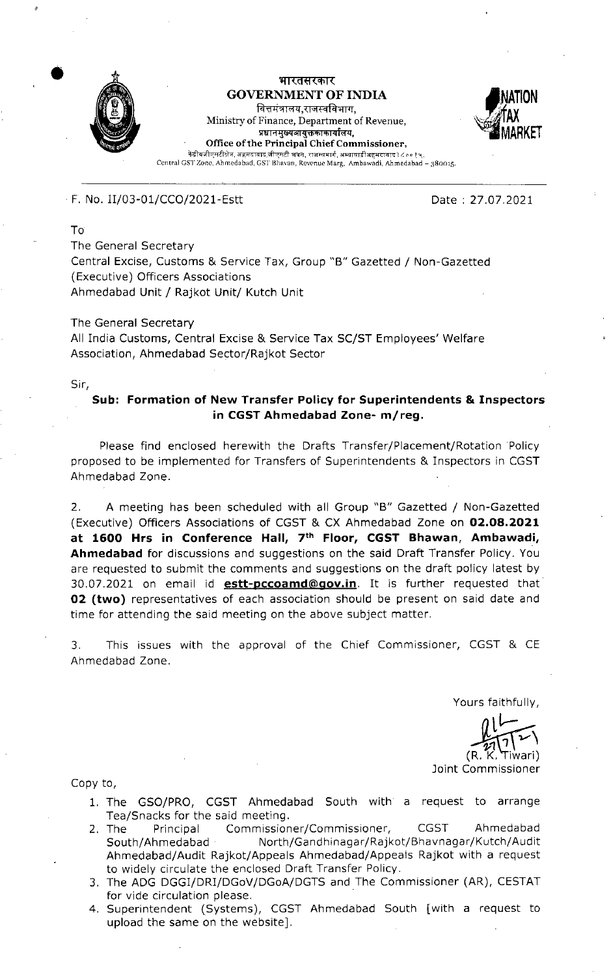

# भारतसरकार GOVERNMENT OF INDIA<br>वित्तमंत्रालय.राजस्वविभाग.

Ministry of Finance, Department of Revenue, **Office ofthe Principal ChiefCommissioner,**



Central GST Zone, Ahmeclabad, GST Bhavan, Revenue Marg, Ambawadi, Ahmedabad - 380015.

F. No. II/03-01/CCO/2021-Estt Date : 27.07.2021

 $To$ 

The General Secretary Central Excise, Customs & Service Tax, Group "B" Gazetted / Non-Gazetted (Executive) Officers Associations Ahmedabad Unit / Rajkot Unit/ Kutch Unit

The General Secretary All India Customs, Central Excise & Service Tax SC/ST Employees' Welfare Association, Ahmedabad Sector/Rajkot Sector

Sir,

# **Sub: Formation of New Transfer Policy for Superintendents & Inspectors in CGST Ahmedabad Zone- m/reg.**

Please find enclosed herewith the Drafts Transfer/Placement/Rotation Policy proposed to be implemented for Transfers of Superintendents & Inspectors in CGST Ahmedabad Zone.

<sup>A</sup> meeting has been scheduled with all Group "B" Gazetted / Non-Gazetted (Executive) Officers Associations of CGST & CX Ahmedabad Zone on **02.08.2021 at 1600 Mrs in Conference Hall, 7th Floor, CGST Bhawan, Ambawadi, Ahmedabad** for discussions and suggestions on the said Draft Transfer Policy. You are requested to submit the comments and suggestions on the draft policy latest by 30.07.2021 on email id **[estt-pccoamd@qov.in](mailto:estt-pccoamd@qov.in).** It is further requested that **02 (two)** representatives of each association should be present on said date and time for attending the said meeting on the above subject matter. 2.

This issues with the approval of the Chief Commissioner, CGST & CE Ahmedabad Zone. 3.

Yours faithfully,

(R. K. [iwari] Joint Commissioner

Copy to,

- 1. The GSO/PRO, CGST Ahmedabad South with a request to arrange Tea/Snacks for the said meeting.
- 2. The Principal Commissioner/Commissioner, North/Gandhinagar/Rajkot/Bhavnagar/Kutch/Audit CGST Ahmedabad South/Ahmedabad Ahmedabad/Audit Rajkot/Appeals Ahmedabad/Appeals Rajkot with a request to widely circulate the enclosed Draft Transfer Policy.
- 3. The ADG DGGI/DRI/DGoV/DGoA/DGTS and The Commissioner (AR), CESTAT for vide circulation please.
- 4. Superintendent (Systems), CGST Ahmedabad South [with a request to upload the same on the website].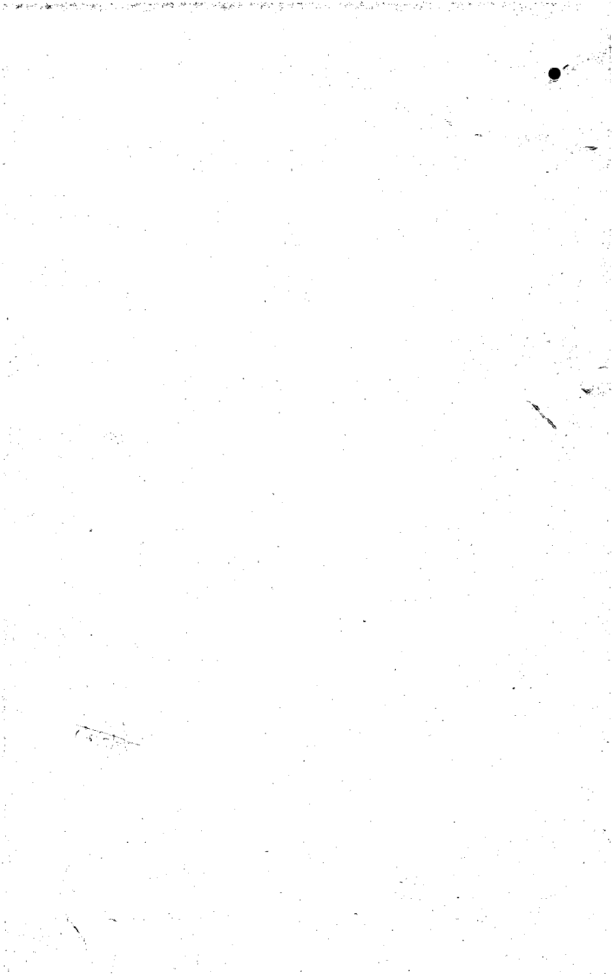

**CARDS**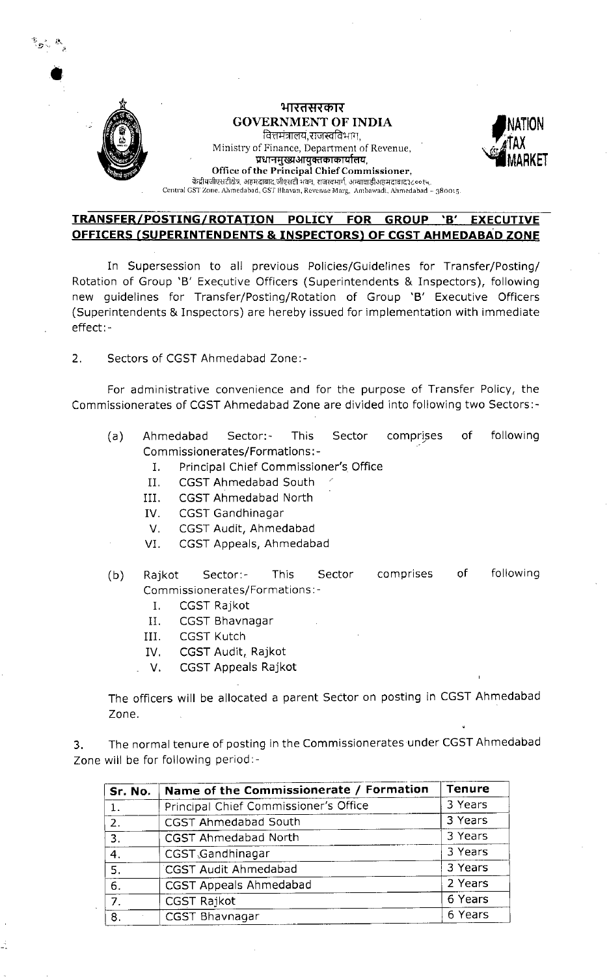

«

# भारतसरकार  $GOVERNMENT OF INDIA$ वित्तमंत्रालयं,राजस्वविभाग, Ministry of Finance, Department of Revenue, प्रधानमुख्यआयुक्तकाकार्यालय, Office of the Principal Chief Commissioner,



Centra] GST Zone. Ahmedabad, GST Uhavan, Revenue Marg, Ambawadi. A)imedabad - 380015.

# **TRANSFER/POSTING/ROTATION POLICY FOR GROUP** *'B'* **EXECUTIVE OFFICERS fSUPERINTENDENTS & INSPECTORS! OF CGST AHMEDABAD ZONE**

In Supersession to all previous Policies/Guidelines for Transfer/Posting/ Rotation of Group 'B' Executive Officers (Superintendents & Inspectors), following new guidelines for Transfer/Posting/Rotation of Group 'B' Executive Officers (Superintendents & Inspectors) are hereby issued for implementation with immediate effect:-

2. Sectors of CGST Ahmedabad Zone:-

For administrative convenience and for the purpose of Transfer Policy, the Commissionerates of CGST Ahmedabad Zone are divided into following two Sectors:-

- Ahmedabad Sector:- This Sector comprises of following Commissionerates/Formations:- (a)
	- I. Principal Chief Commissioner's Office
	- II. CGST Ahmedabad South
	- III. CGSTAhmedabad North
	- IV. CGST Gandhinagar
	- V. CGST Audit, Ahmedabad
	- VI. CGST Appeals, Ahmedabad
- (b) Rajkot Sector:- This Sector comprises of following Commissionerates/Formations:-
	- I. CGST Rajkot
	- II. CGST Bhavnagar
	- III. CGST Kutch
	- IV. CGST Audit, Rajkot
	- V. CGST Appeals Rajkot

The officers will be allocated a parent Sector on posting in CGST Ahmedabad Zone.

3. The normal tenure of posting in the Commissionerates under CGST Ahmedabad Zone will be for following period:-

| Sr. No.          | Name of the Commissionerate / Formation | <b>Tenure</b> |
|------------------|-----------------------------------------|---------------|
| 1.               | Principal Chief Commissioner's Office   | 3 Years       |
| $\overline{2}$ . | CGST Ahmedabad South                    | 3 Years       |
| $\overline{3}$ . | CGST Ahmedabad North                    | 3 Years       |
| $\overline{4}$ . | CGST Gandhinagar                        | 3 Years       |
| 5.               | <b>CGST Audit Ahmedabad</b>             | 3 Years       |
| 6.               | CGST Appeals Ahmedabad                  | 2 Years       |
| $\overline{7}$ . | <b>CGST Rajkot</b>                      | 6 Years       |
| 8.               | CGST Bhavnagar                          | 6 Years       |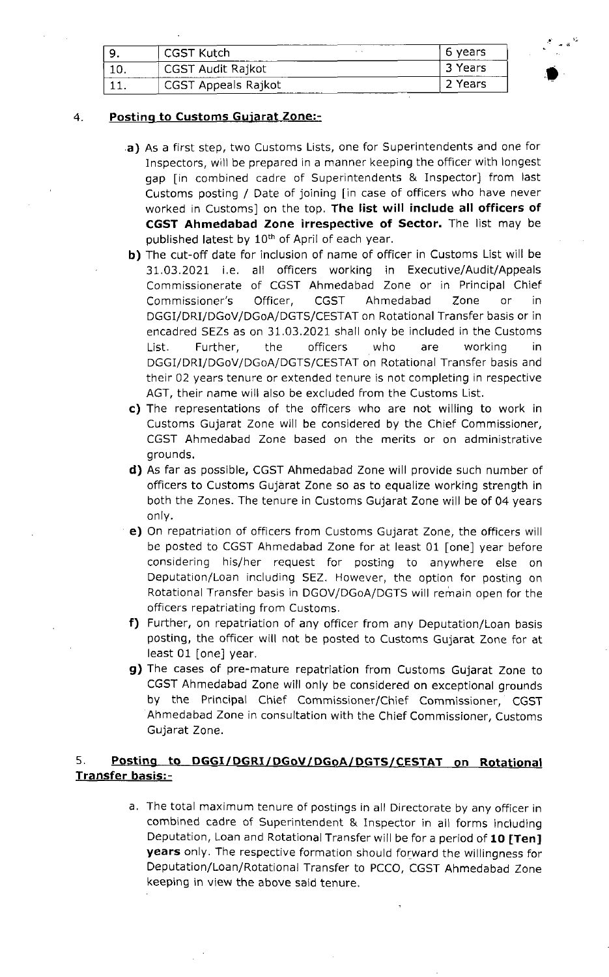| CGST Kutch          | 6 years |  |
|---------------------|---------|--|
| CGST Audit Rajkot   | 3 Years |  |
| CGST Appeals Rajkot | 2 Years |  |

- «

## 4. **Posting to Customs Guiarat Zone;-**

- **a)** As a first step, two Customs Lists, one for Superintendents and one for Inspectors, will be prepared in a manner keeping the officer with longest gap [in combined cadre of Superintendents & Inspector] from last Customs posting / Date of joining [in case of officers who have never worked in Customs] on the top. **The list will include all officers of CGST Ahmedabad Zone irrespective of Sector.** The list may be published latest by 10<sup>th</sup> of April of each year.
- b) The cut-off date for inclusion of name of officer in Customs List will be 31.03.2021 i.e. all officers working in Executive/Audit/Appeals Commissionerate of CGST Ahmedabad Zone or in Principal Chief Commissioner's Officer, CGST Ahmedabad Zone or in DGGI/DRI/DGoV/DGoA/DGTS/CESTAT on Rotational Transfer basis or in encadred SEZs as on 31.03.2021 shall only be included in the Customs List. Further, the officers who are working DGGI/DRI/DGoV/DGoA/DGTS/CESTAT on Rotational Transfer basis and their 02 years tenure or extended tenure is not completing in respective AGT, their name will also be excluded from the Customs List. in
- c) The representations of the officers who are not willing to work in Customs Gujarat Zone will be considered by the Chief Commissioner, CGST Ahmedabad Zone based on the merits or on administrative grounds.
- d) As far as possible, CGST Ahmedabad Zone will provide such number of officers to Customs Gujarat Zone so as to equalize working strength in both the Zones. The tenure in Customs Gujarat Zone will be of 04 years only.
- e) On repatriation of officers from Customs Gujarat Zone, the officers will be posted to CGST Ahmedabad Zone for at least 01 [one] year before considering his/her request for posting to anywhere else on Deputation/Loan including SEZ. However, the option for posting on Rotational Transfer basis in DGOV/DGoA/DGTS will remain open for the officers repatriating from Customs.
- f) Further, on repatriation of any officer from any Deputation/Loan basis posting, the officer will not be posted to Customs Gujarat Zone for at least 01 [one] year.
- g) The cases of pre-mature repatriation from Customs Gujarat Zone to CGST Ahmedabad Zone will only be considered on exceptional grounds by the Principal Chief Commissioner/Chief Commissioner, CGST Ahmedabad Zone in consultation with the Chief Commissioner, Customs Gujarat Zone.

#### **Posting to PGGI/DGRI/PGoV/DGoA/DGTS/CESTAT on Rotational Transfer basis:-** 5.

a. The total maximum tenure of postings in all Directorate by any officer in combined cadre of Superintendent & Inspector in all forms including Deputation, Loan and Rotational Transfer will be for <sup>a</sup> period of **10 [Ten] years** only. The respective formation should forward the willingness for Deputation/Loan/Rotational Transfer to PCCO, CGST Ahmedabad Zone keeping in view the above said tenure.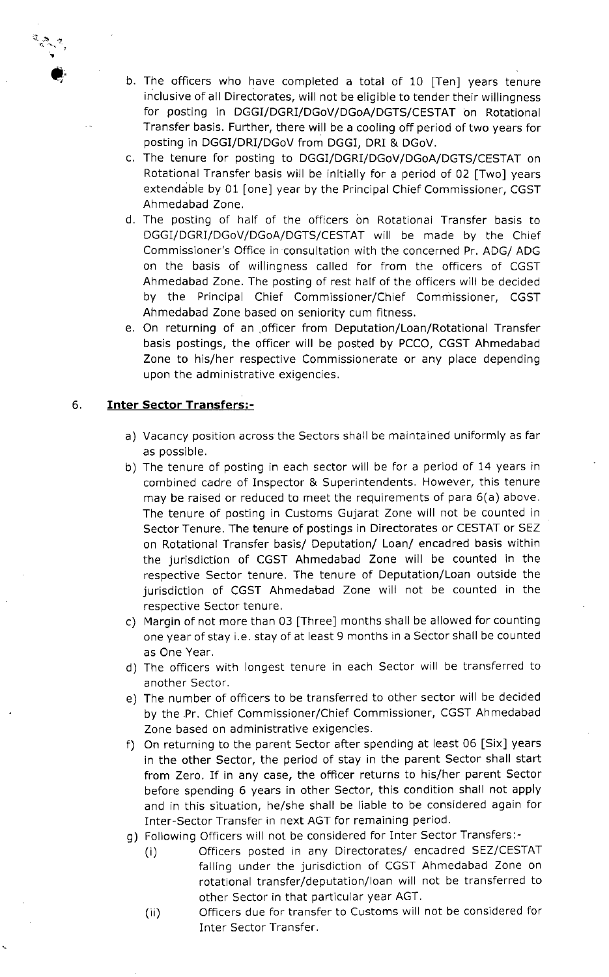- b. The officers who have completed a total of 10 [Ten] years tenure inclusive of all Directorates, will not be eligible to tender their willingness for posting in DGGI/DGRI/DGoV/DGoA/DGTS/CESTAT on Rotational Transfer basis. Further, there will be a cooling off period of two years for posting in DGGI/DRI/DGoV from DGGI, DRI & DGoV.
- c. The tenure for posting to DGGI/DGRI/DGoV/DGoA/DGTS/CESTAT on Rotational Transfer basis will be initially for a period of 02 [Two] years extendable by 01 [one] year by the Principal Chief Commissioner, CGST Ahmedabad Zone.
- d. The posting of half of the officers on Rotational Transfer basis to DGGI/DGRI/DGoV/DGoA/DGTS/CESTAT will be made by the Chief Commissioner's Office in consultation with the concerned Pr. ADG/ ADG on the basis of willingness called for from the officers of CGST Ahmedabad Zone. The posting of rest half of the officers will be decided by the Principal Chief Commissioner/Chief Commissioner, CGST Ahmedabad Zone based on seniority cum fitness.
- e. On returning of an officer from Deputation/Loan/Rotational Transfer basis postings, the officer will be posted by PCCO, CGST Ahmedabad Zone to his/her respective Commissionerate or any place depending upon the administrative exigencies.

## 6. **Inter Sector Transfers:-**

- a) Vacancy position across the Sectors shall be maintained uniformly as far as possible.
- b) The tenure of posting in each sector will be for a period of 14 years in combined cadre of Inspector & Superintendents. However, this tenure may be raised or reduced to meet the requirements of para 6(a) above. The tenure of posting in Customs Gujarat Zone will not be counted in Sector Tenure. The tenure of postings in Directorates or CESTAT or SEZ on Rotational Transfer basis/ Deputation/ Loan/ encadred basis within the jurisdiction of CGST Ahmedabad Zone will be counted in the respective Sector tenure. The tenure of Deputation/Loan outside the jurisdiction of CGST Ahmedabad Zone will not be counted in the respective Sector tenure.
- c) Margin of not more than 03 [Three] months shall be allowed for counting one year of stay i.e. stay of at least 9 months in a Sector shall be counted as One Year.
- d) The officers with longest tenure in each Sector will be transferred to another Sector.
- e) The number of officers to be transferred to other sector will be decided by the -Pr. Chief Commissioner/Chief Commissioner, CGST Ahmedabad Zone based on administrative exigencies.
- f) On returning to the parent Sector after spending at least 06 [Six] years in the other Sector, the period of stay in the parent Sector shall start from Zero. If in any case, the officer returns to his/her parent Sector before spending 6 years in other Sector, this condition shall not apply and in this situation, he/she shall be liable to be considered again for Inter-Sector Transfer in next AGT for remaining period.
- g) Following Officers will not be considered for Inter Sector Transfers:-
	- Officers posted in any Directorates/ encadred SEZ/CESTAT falling under the jurisdiction of CGST Ahmedabad Zone on rotational transfer/deputation/loan will not be transferred to other Sector in that particular year AGT. (i)
		- Officers due for transfer to Customs will not be considered for Inter Sector Transfer.

(ii)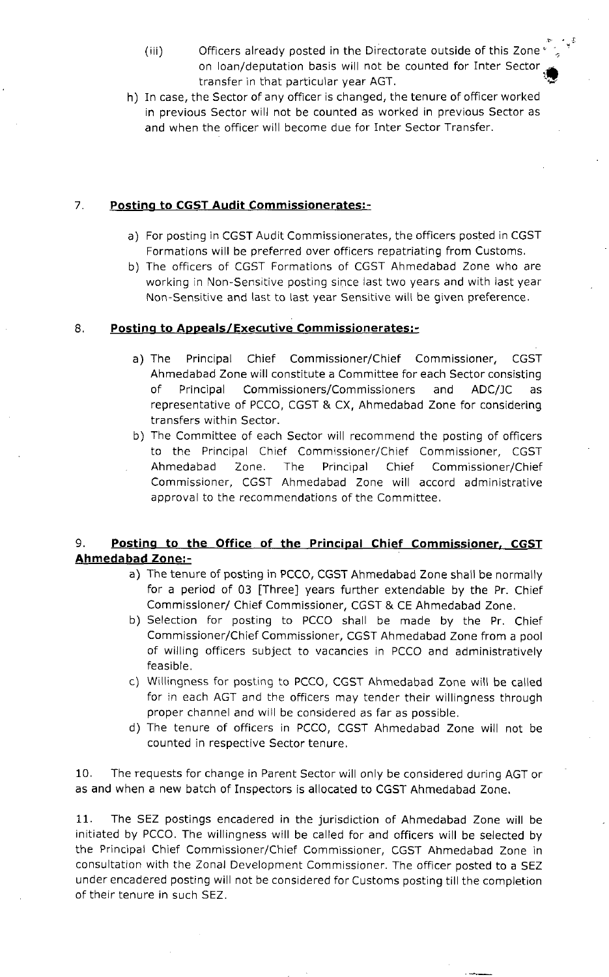Officers already posted in the Directorate outside of this Zone<sup>®</sup> on loan/deputation basis will not be counted for Inter Sector transfer in that particular year ACT.  $(iii)$  $\bullet$ 

**\*** *l*

h) In case, the Sector of any officer is changed, the tenure of officer worked in previous Sector will not be counted as worked in previous Sector as and when the officer will become due for Inter Sector Transfer.

## 7. **Posting to CGST Audit Commissionerates:-**

- a) For posting in CGST Audit Commissionerates, the officers posted in CGST Formations will be preferred over officers repatriating from Customs.
- b) The officers of CGST Formations of CGST Ahmedabad Zone who are working in Non-Sensitive posting since last two years and with last year Non-Sensitive and last to last year Sensitive will be given preference.

### 8. **Posting to Appeals/Executive Commissionerates:-**

- a) The Principal Chief Commissioner/Chief Commissioner, CGST Ahmedabad Zone will constitute a Committee for each Sector consisting of Principal Commissioners/Commissioners and ADC/JC as representative of PCCO, CGST & CX, Ahmedabad Zone for considering transfers within Sector.
- b) The Committee of each Sector will recommend the posting of officers to the Principal Chief Commissioner/Chief Commissioner, CGST Ahmedabad Zone. The Principal Chief Commissioner/Chief Commissioner, CGST Ahmedabad Zone will accord administrative approval to the recommendations of the Committee.

#### **Posting to the Office of the Principal Chief Commissioner. CGST Ahmedabad Zone:-** 9.

- a) The tenure of posting in PCCO, CGST Ahmedabad Zone shall be normally for a period of 03 [Three] years further extendable by the Pr. Chief Commissioner/ Chief Commissioner, CGST & CE Ahmedabad Zone.
- b) Selection for posting to PCCO shall be made by the Pr. Chief Commissioner/Chief Commissioner, CGST Ahmedabad Zone from a pool of willing officers subject to vacancies in PCCO and administratively feasible.
- c) Willingness for posting to PCCO, CGST Ahmedabad Zone will be called for in each AGT and the officers may tender their willingness through proper channel and will be considered as far as possible.
- d) The tenure of officers in PCCO, CGST Ahmedabad Zone will not be counted in respective Sector tenure.

The requests for change in Parent Sector will only be considered during AGT or as and when a new batch of Inspectors is allocated to CGST Ahmedabad Zone. **10.**

**The SEZ** postings encadered in the jurisdiction of Ahmedabad Zone will be initiated by PCCO. The willingness will be called for and officers will be selected by the Principal Chief Commissioner/Chief Commissioner, CGST Ahmedabad Zone in consultation with the Zonal Development Commissioner. The officer posted to a SEZ under encadered posting will not be considered for Customs posting till the completion of their tenure in such SEZ. **11.**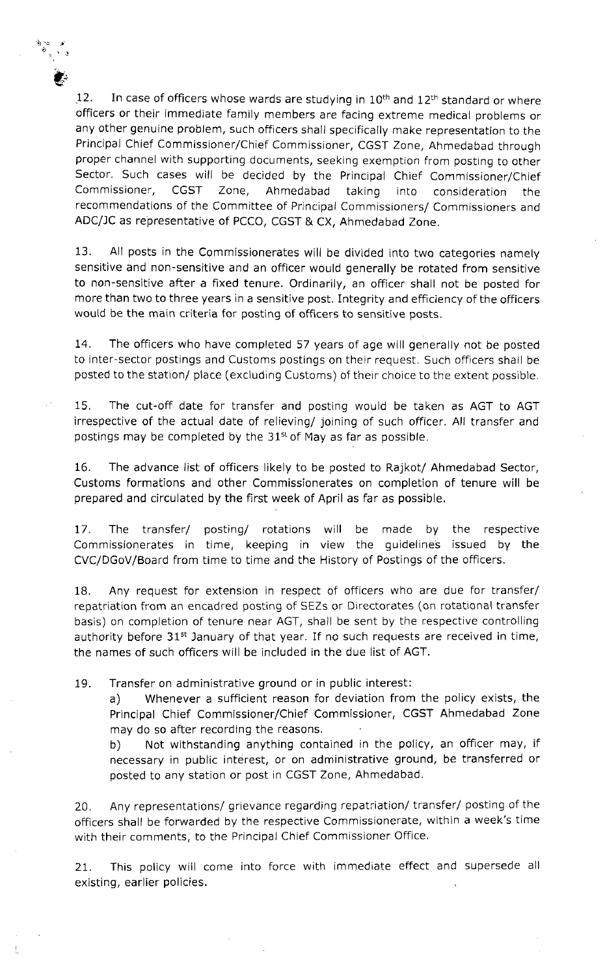*%* #

> In case of officers whose wards are studying in 10<sup>th</sup> and 12<sup>th</sup> standard or where officers or their immediate family members are facing extreme medical problems or any other genuine problem, such officers shall specifically make representation to the Principal Chief Commissioner/Chief Commissioner, CGST Zone, Ahmedabad through proper channel with supporting documents, seeking exemption from posting to other Sector. Such cases will be decided by the Principal Chief Commissioner/Chief Commissioner, CGST Zone, Ahmedabad taking into consideration the recommendations of the Committee of Principal Commissioners/ Commissioners and ADC/JC as representative of PCCO, CGST & CX, Ahmedabad Zone. **12.**

> All posts in the Commissionerates will be divided into two categories namely sensitive and non-sensitive and an officer would generally be rotated from sensitive to non-sensitive after a fixed tenure. Ordinarily, an officer shall not be posted for more than two to three years in a sensitive post. Integrity and efficiency of the officers would be the main criteria for posting of officers to sensitive posts. **13.**

> The officers who have completed 57 years of age will generally not be posted to inter-sector postings and Customs postings on their request. Such officers shall be posted to the station/ place (excluding Customs) of their choice to the extent possible. **14.**

> The cut-off date for transfer and posting would be taken as AGT to AGT irrespective of the actual date of relieving/ joining of such officer. All transfer and postings may be completed by the  $31<sup>st</sup>$  of May as far as possible. **15.**

> The advance list of officers likely to be posted to Rajkot/ Ahmedabad Sector, Customs formations and other Commissionerates on completion of tenure will be prepared and circulated by the first week of April as far as possible. **16.**

> The transfer/ posting/ rotations will be made by the respective Commissionerates in time, keeping in view the guidelines issued by the CVC/DGoV/Board from time to time and the History of Postings of the officers. **17.**

> Any request for extension in respect of officers who are due for transfer/ repatriation from an encadred posting of SEZs or Directorates (on rotational transfer basis) on completion of tenure near AGT, shall be sent by the respective controlling authority before  $31<sup>st</sup>$  January of that year. If no such requests are received in time, the names of such officers will be included in the due list of AGT. **18.**

Transfer on administrative ground or in public interest: **19.**

> Whenever <sup>a</sup> sufficient reason for deviation from the policy exists, the Principal Chief Commissioner/Chief Commissioner, CGST Ahmedabad Zone may do so after recording the reasons. a)

> Not withstanding anything contained in the policy, an officer may, if necessary in public interest, or on administrative ground, be transferred or posted to any station or post in CGST Zone, Ahmedabad. b)

Any representations/ grievance regarding repatriation/ transfer/ posting of the officers shall be forwarded by the respective Commissionerate, within a week's time with their comments, to the Principal Chief Commissioner Office. 20.

This policy will come into force with immediate effect and supersede all existing, earlier policies. **21.**